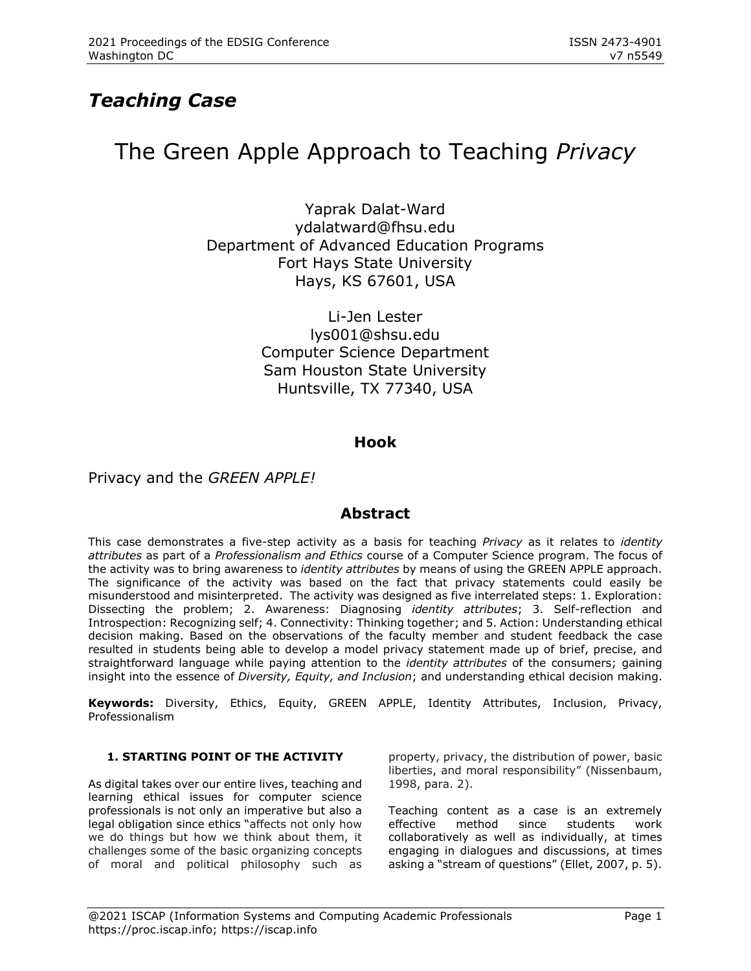## *Teaching Case*

# The Green Apple Approach to Teaching *Privacy*

Yaprak Dalat-Ward [ydalatward@fhsu.edu](mailto:ydalatward@fhsu.edu) Department of Advanced Education Programs Fort Hays State University Hays, KS 67601, USA

> Li-Jen Lester [lys001@shsu.edu](mailto:lys001@shsu.edu) Computer Science Department Sam Houston State University Huntsville, TX 77340, USA

## **Hook**

### Privacy and the *GREEN APPLE!*

### **Abstract**

This case demonstrates a five-step activity as a basis for teaching *Privacy* as it relates to *identity attributes* as part of a *Professionalism and Ethics* course of a Computer Science program. The focus of the activity was to bring awareness to *identity attributes* by means of using the GREEN APPLE approach. The significance of the activity was based on the fact that privacy statements could easily be misunderstood and misinterpreted. The activity was designed as five interrelated steps: 1. Exploration: Dissecting the problem; 2. Awareness: Diagnosing *identity attributes*; 3. Self-reflection and Introspection: Recognizing self; 4. Connectivity: Thinking together; and 5. Action: Understanding ethical decision making. Based on the observations of the faculty member and student feedback the case resulted in students being able to develop a model privacy statement made up of brief, precise, and straightforward language while paying attention to the *identity attributes* of the consumers; gaining insight into the essence of *Diversity, Equity, and Inclusion*; and understanding ethical decision making.

**Keywords:** Diversity, Ethics, Equity, GREEN APPLE, Identity Attributes, Inclusion, Privacy, Professionalism

### **1. STARTING POINT OF THE ACTIVITY**

As digital takes over our entire lives, teaching and learning ethical issues for computer science professionals is not only an imperative but also a legal obligation since ethics "affects not only how we do things but how we think about them, it challenges some of the basic organizing concepts of moral and political philosophy such as property, privacy, the distribution of power, basic liberties, and moral responsibility" (Nissenbaum, 1998, para. 2).

Teaching content as a case is an extremely effective method since students work collaboratively as well as individually, at times engaging in dialogues and discussions, at times asking a "stream of questions" (Ellet, 2007, p. 5).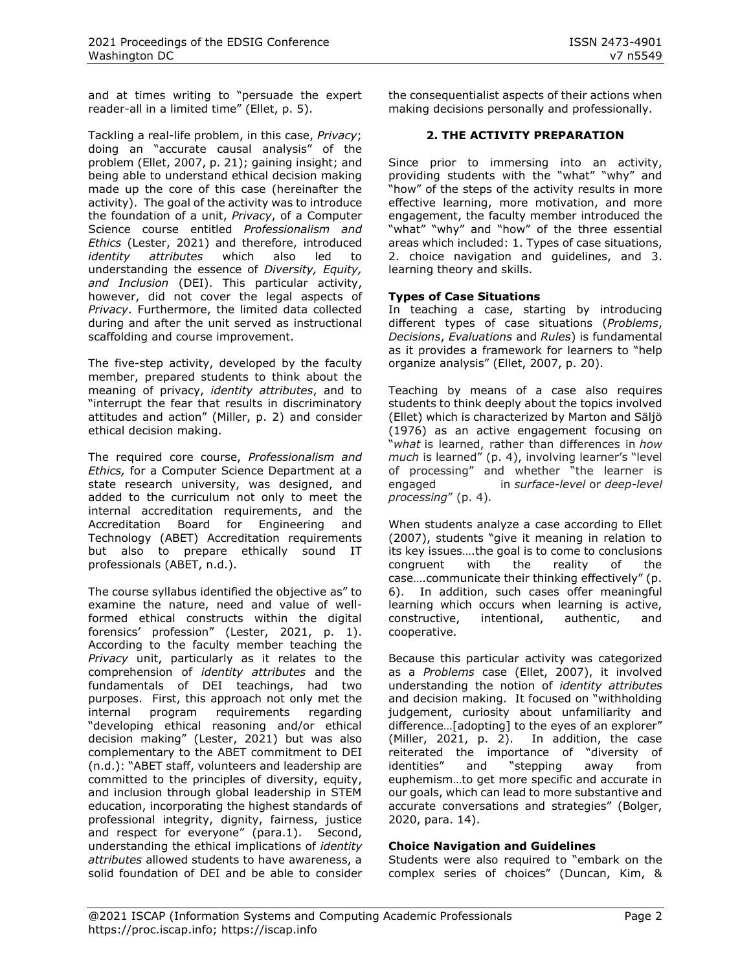and at times writing to "persuade the expert reader-all in a limited time" (Ellet, p. 5).

Tackling a real-life problem, in this case, *Privacy*; doing an "accurate causal analysis" of the problem (Ellet, 2007, p. 21); gaining insight; and being able to understand ethical decision making made up the core of this case (hereinafter the activity). The goal of the activity was to introduce the foundation of a unit, *Privacy*, of a Computer Science course entitled *Professionalism and Ethics* (Lester, 2021) and therefore, introduced *identity attributes* which also led to understanding the essence of *Diversity, Equity, and Inclusion* (DEI). This particular activity, however, did not cover the legal aspects of *Privacy*. Furthermore, the limited data collected during and after the unit served as instructional scaffolding and course improvement.

The five-step activity, developed by the faculty member, prepared students to think about the meaning of privacy, *identity attributes*, and to "interrupt the fear that results in discriminatory attitudes and action" (Miller, p. 2) and consider ethical decision making.

The required core course, *Professionalism and Ethics,* for a Computer Science Department at a state research university, was designed, and added to the curriculum not only to meet the internal accreditation requirements, and the Accreditation Board for Engineering and Technology (ABET) Accreditation requirements but also to prepare ethically sound IT professionals (ABET, n.d.).

The course syllabus identified the objective as" to examine the nature, need and value of wellformed ethical constructs within the digital forensics' profession" (Lester, 2021, p. 1). According to the faculty member teaching the *Privacy* unit, particularly as it relates to the comprehension of *identity attributes* and the fundamentals of DEI teachings, had two purposes. First, this approach not only met the internal program requirements regarding "developing ethical reasoning and/or ethical decision making" (Lester, 2021) but was also complementary to the ABET commitment to DEI (n.d.): "ABET staff, volunteers and leadership are committed to the principles of diversity, equity, and inclusion through global leadership in STEM education, incorporating the highest standards of professional integrity, dignity, fairness, justice and respect for everyone" (para.1). Second, understanding the ethical implications of *identity attributes* allowed students to have awareness, a solid foundation of DEI and be able to consider

the consequentialist aspects of their actions when making decisions personally and professionally.

### **2. THE ACTIVITY PREPARATION**

Since prior to immersing into an activity, providing students with the "what" "why" and "how" of the steps of the activity results in more effective learning, more motivation, and more engagement, the faculty member introduced the "what" "why" and "how" of the three essential areas which included: 1. Types of case situations, 2. choice navigation and guidelines, and 3. learning theory and skills.

### **Types of Case Situations**

In teaching a case, starting by introducing different types of case situations (*Problems*, *Decisions*, *Evaluations* and *Rules*) is fundamental as it provides a framework for learners to "help organize analysis" (Ellet, 2007, p. 20).

Teaching by means of a case also requires students to think deeply about the topics involved (Ellet) which is characterized by Marton and Säljö (1976) as an active engagement focusing on "*what* is learned, rather than differences in *how much* is learned" (p. 4), involving learner's "level of processing" and whether "the learner is engaged in *surface-level* or *deep-level processing*" (p. 4)*.* 

When students analyze a case according to Ellet (2007), students "give it meaning in relation to its key issues….the goal is to come to conclusions congruent with the reality of the case….communicate their thinking effectively" (p. 6). In addition, such cases offer meaningful learning which occurs when learning is active, constructive, intentional, authentic, and cooperative.

Because this particular activity was categorized as a *Problems* case (Ellet, 2007), it involved understanding the notion of *identity attributes* and decision making. It focused on "withholding judgement, curiosity about unfamiliarity and difference…[adopting] to the eyes of an explorer" (Miller, 2021, p. 2). In addition, the case reiterated the importance of "diversity of identities" and "stepping away from euphemism…to get more specific and accurate in our goals, which can lead to more substantive and accurate conversations and strategies" (Bolger, 2020, para. 14).

### **Choice Navigation and Guidelines**

Students were also required to "embark on the complex series of choices" (Duncan, Kim, &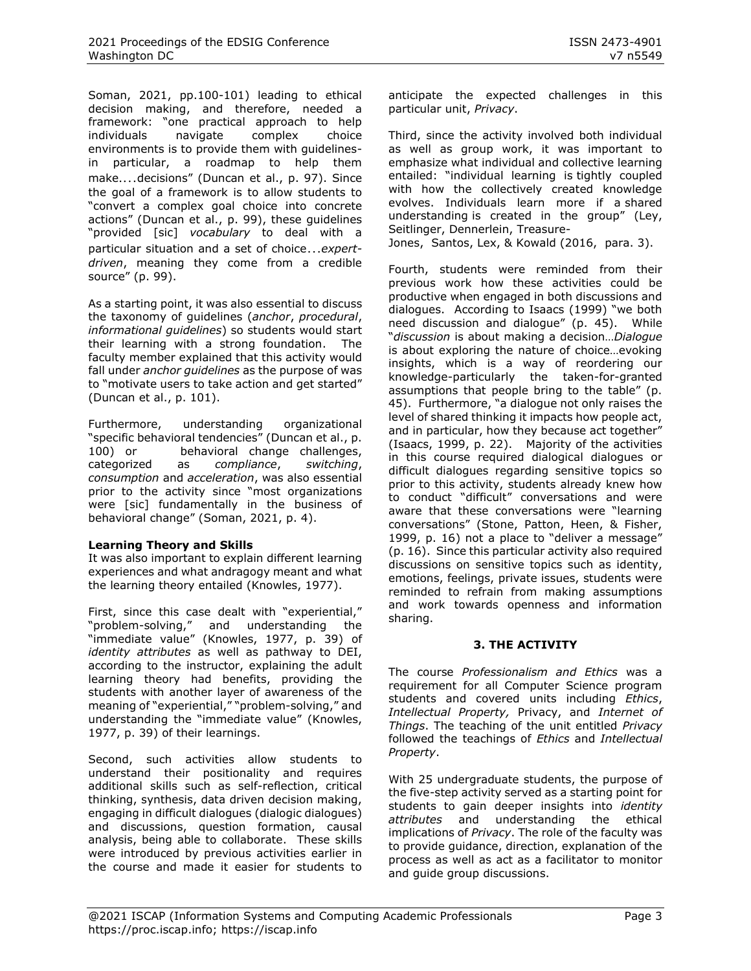Soman, 2021, pp.100-101) leading to ethical decision making, and therefore, needed a framework: "one practical approach to help individuals navigate complex choice environments is to provide them with guidelinesin particular, a roadmap to help them make.…decisions" (Duncan et al., p. 97). Since the goal of a framework is to allow students to "convert a complex goal choice into concrete actions" (Duncan et al., p. 99), these guidelines "provided [sic] *vocabulary* to deal with a particular situation and a set of choice…*expertdriven*, meaning they come from a credible source" (p. 99).

As a starting point, it was also essential to discuss the taxonomy of guidelines (*anchor*, *procedural*, *informational guidelines*) so students would start their learning with a strong foundation. The faculty member explained that this activity would fall under *anchor guidelines* as the purpose of was to "motivate users to take action and get started" (Duncan et al., p. 101).

Furthermore, understanding organizational "specific behavioral tendencies" (Duncan et al., p. 100) or behavioral change challenges, categorized as *compliance*, *switching*, *consumption* and *acceleration*, was also essential prior to the activity since "most organizations were [sic] fundamentally in the business of behavioral change" (Soman, 2021, p. 4).

### **Learning Theory and Skills**

It was also important to explain different learning experiences and what andragogy meant and what the learning theory entailed (Knowles, 1977).

First, since this case dealt with "experiential," "problem-solving," and understanding the "immediate value" (Knowles, 1977, p. 39) of *identity attributes* as well as pathway to DEI, according to the instructor, explaining the adult learning theory had benefits, providing the students with another layer of awareness of the meaning of "experiential," "problem-solving," and understanding the "immediate value" (Knowles, 1977, p. 39) of their learnings.

Second, such activities allow students to understand their positionality and requires additional skills such as self-reflection, critical thinking, synthesis, data driven decision making, engaging in difficult dialogues (dialogic dialogues) and discussions, question formation, causal analysis, being able to collaborate. These skills were introduced by previous activities earlier in the course and made it easier for students to anticipate the expected challenges in this particular unit, *Privacy*.

Third, since the activity involved both individual as well as group work, it was important to emphasize what individual and collective learning entailed: "individual learning is tightly coupled with how the collectively created knowledge evolves. Individuals learn more if a shared understanding is created in the group" [\(Ley,](http://results.learning-layers.eu/authors/#tobias-ley) Seitlinger, [Dennerlein,](http://results.learning-layers.eu/authors/#sebastian-dennerlein) [Treasure-](http://results.learning-layers.eu/authors/#tamsin-treasure-jones)

[Jones,](http://results.learning-layers.eu/authors/#tamsin-treasure-jones) [Santos,](http://results.learning-layers.eu/authors/#patricia-santos) [Lex,](http://results.learning-layers.eu/authors/#elisabeth-lex) & [Kowald](http://results.learning-layers.eu/authors/#dominik-kowald) (2016, para. 3).

Fourth, students were reminded from their previous work how these activities could be productive when engaged in both discussions and dialogues. According to Isaacs (1999) "we both need discussion and dialogue" (p. 45). While "*discussion* is about making a decision…*Dialogue*  is about exploring the nature of choice…evoking insights, which is a way of reordering our knowledge-particularly the taken-for-granted assumptions that people bring to the table" (p. 45). Furthermore, "a dialogue not only raises the level of shared thinking it impacts how people act, and in particular, how they because act together" (Isaacs, 1999, p. 22). Majority of the activities in this course required dialogical dialogues or difficult dialogues regarding sensitive topics so prior to this activity, students already knew how to conduct "difficult" conversations and were aware that these conversations were "learning conversations" (Stone, Patton, Heen, & Fisher, 1999, p. 16) not a place to "deliver a message" (p. 16). Since this particular activity also required discussions on sensitive topics such as identity, emotions, feelings, private issues, students were reminded to refrain from making assumptions and work towards openness and information sharing.

### **3. THE ACTIVITY**

The course *Professionalism and Ethics* was a requirement for all Computer Science program students and covered units including *Ethics*, *Intellectual Property,* Privacy, and *Internet of Things*. The teaching of the unit entitled *Privacy* followed the teachings of *Ethics* and *Intellectual Property*.

With 25 undergraduate students, the purpose of the five-step activity served as a starting point for students to gain deeper insights into *identity attributes* and understanding the ethical implications of *Privacy*. The role of the faculty was to provide guidance, direction, explanation of the process as well as act as a facilitator to monitor and guide group discussions.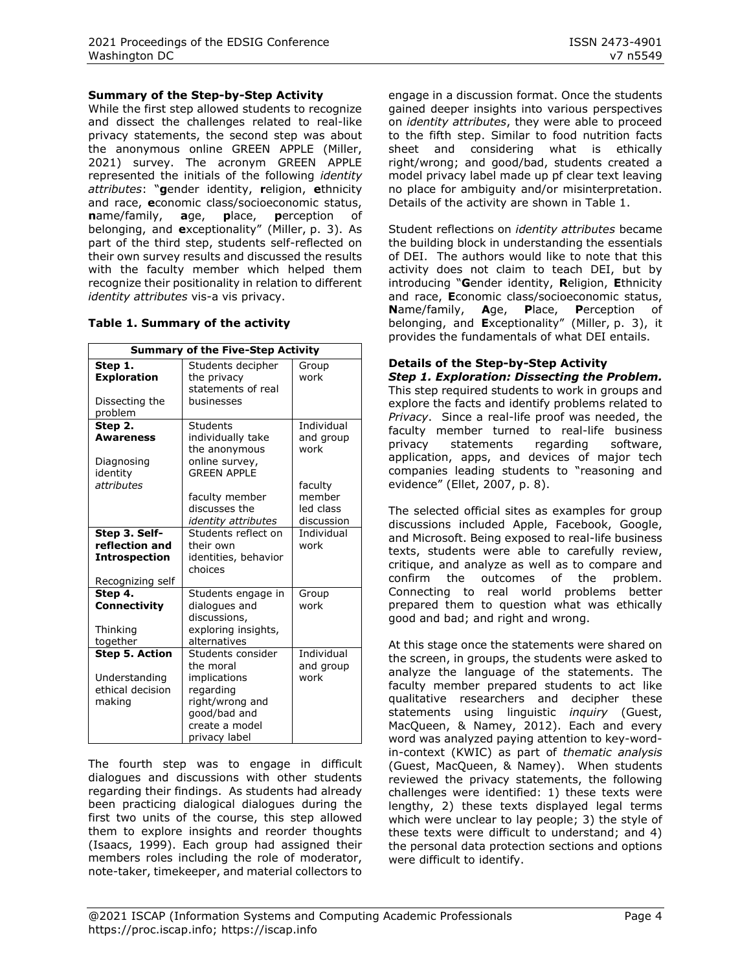#### **Summary of the Step-by-Step Activity**

While the first step allowed students to recognize and dissect the challenges related to real-like privacy statements, the second step was about the anonymous online GREEN APPLE (Miller, 2021) survey. The acronym GREEN APPLE represented the initials of the following *identity attributes*: "**g**ender identity, **r**eligion, **e**thnicity and race, **e**conomic class/socioeconomic status, **n**ame/family, **a**ge, **p**lace, **p**erception of belonging, and **e**xceptionality" (Miller, p. 3). As part of the third step, students self-reflected on their own survey results and discussed the results with the faculty member which helped them recognize their positionality in relation to different *identity attributes* vis-a vis privacy.

#### **Table 1. Summary of the activity**

| <b>Summary of the Five-Step Activity</b>                                    |                                                                                                                                   |                                              |
|-----------------------------------------------------------------------------|-----------------------------------------------------------------------------------------------------------------------------------|----------------------------------------------|
| Step 1.<br><b>Exploration</b><br>Dissecting the<br>problem                  | Students decipher<br>the privacy<br>statements of real<br>businesses                                                              | Group<br>work                                |
| Step 2.<br><b>Awareness</b><br>Diagnosing<br>identity                       | Students<br>individually take<br>the anonymous<br>online survey,<br><b>GRFFN APPI F</b>                                           | Individual<br>and group<br>work              |
| attributes                                                                  | faculty member<br>discusses the<br><i>identity attributes</i>                                                                     | faculty<br>member<br>led class<br>discussion |
| Step 3. Self-<br>reflection and<br><b>Introspection</b><br>Recognizing self | Students reflect on<br>their own<br>identities, behavior<br>choices                                                               | <b>Individual</b><br>work                    |
| Step 4.<br><b>Connectivity</b><br>Thinking<br>together                      | Students engage in<br>dialogues and<br>discussions,<br>exploring insights,<br>alternatives                                        | Group<br>work                                |
| <b>Step 5. Action</b><br>Understanding<br>ethical decision<br>making        | Students consider<br>the moral<br>implications<br>regarding<br>right/wrong and<br>qood/bad and<br>create a model<br>privacy label | Individual<br>and group<br>work              |

The fourth step was to engage in difficult dialogues and discussions with other students regarding their findings. As students had already been practicing dialogical dialogues during the first two units of the course, this step allowed them to explore insights and reorder thoughts (Isaacs, 1999). Each group had assigned their members roles including the role of moderator, note-taker, timekeeper, and material collectors to engage in a discussion format. Once the students gained deeper insights into various perspectives on *identity attributes*, they were able to proceed to the fifth step. Similar to food nutrition facts sheet and considering what is ethically right/wrong; and good/bad, students created a model privacy label made up pf clear text leaving no place for ambiguity and/or misinterpretation. Details of the activity are shown in Table 1.

Student reflections on *identity attributes* became the building block in understanding the essentials of DEI. The authors would like to note that this activity does not claim to teach DEI, but by introducing "**G**ender identity, **R**eligion, **E**thnicity and race, **E**conomic class/socioeconomic status, **N**ame/family, **A**ge, **P**lace, **P**erception of belonging, and **E**xceptionality" (Miller, p. 3), it provides the fundamentals of what DEI entails.

## **Details of the Step-by-Step Activity**

*Step 1. Exploration: Dissecting the Problem.*  This step required students to work in groups and explore the facts and identify problems related to *Privacy*. Since a real-life proof was needed, the faculty member turned to real-life business privacy statements regarding software, application, apps, and devices of major tech companies leading students to "reasoning and evidence" (Ellet, 2007, p. 8).

The selected official sites as examples for group discussions included Apple, Facebook, Google, and Microsoft. Being exposed to real-life business texts, students were able to carefully review, critique, and analyze as well as to compare and confirm the outcomes of the problem. Connecting to real world problems better prepared them to question what was ethically good and bad; and right and wrong.

At this stage once the statements were shared on the screen, in groups, the students were asked to analyze the language of the statements. The faculty member prepared students to act like qualitative researchers and decipher these statements using linguistic *inquiry* (Guest, MacQueen, & Namey, 2012). Each and every word was analyzed paying attention to key-wordin-context (KWIC) as part of *thematic analysis* (Guest, MacQueen, & Namey). When students reviewed the privacy statements, the following challenges were identified: 1) these texts were lengthy, 2) these texts displayed legal terms which were unclear to lay people; 3) the style of these texts were difficult to understand; and 4) the personal data protection sections and options were difficult to identify.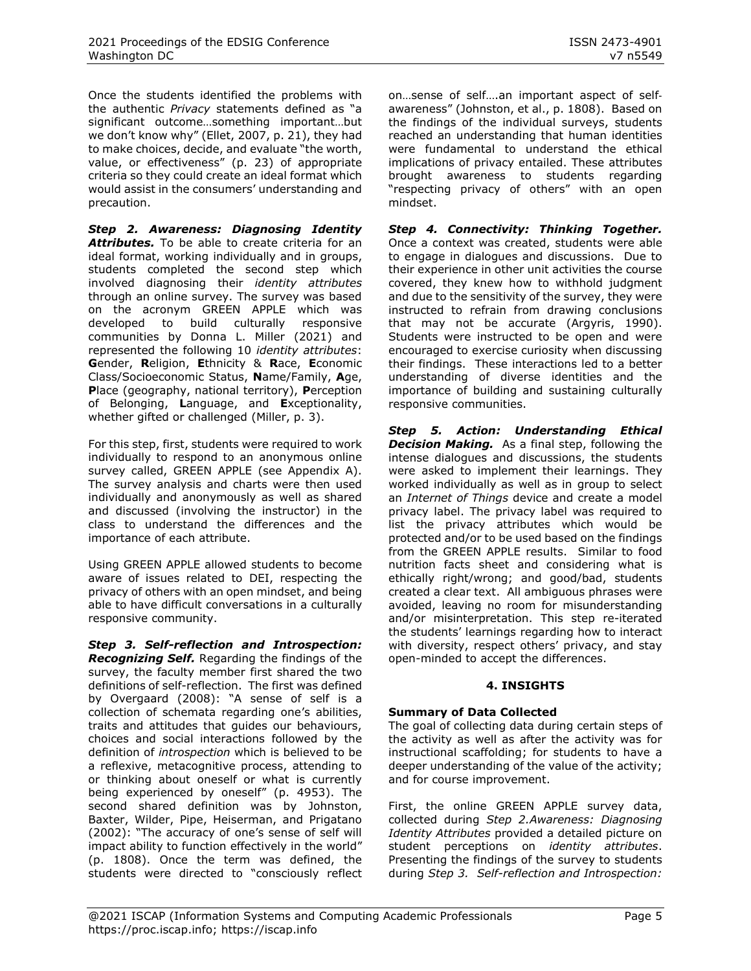Once the students identified the problems with the authentic *Privacy* statements defined as "a significant outcome…something important…but we don't know why" (Ellet, 2007, p. 21), they had to make choices, decide, and evaluate "the worth, value, or effectiveness" (p. 23) of appropriate criteria so they could create an ideal format which would assist in the consumers' understanding and precaution.

*Step 2. Awareness: Diagnosing Identity*  Attributes. To be able to create criteria for an ideal format, working individually and in groups, students completed the second step which involved diagnosing their *identity attributes* through an online survey. The survey was based on the acronym GREEN APPLE which was developed to build culturally responsive communities by Donna L. Miller (2021) and represented the following 10 *identity attributes*: **G**ender, **R**eligion, **E**thnicity & **R**ace, **E**conomic Class/Socioeconomic Status, **N**ame/Family, **A**ge, **P**lace (geography, national territory), **P**erception of Belonging, **L**anguage, and **E**xceptionality, whether gifted or challenged (Miller, p. 3).

For this step, first, students were required to work individually to respond to an anonymous online survey called, GREEN APPLE (see Appendix A). The survey analysis and charts were then used individually and anonymously as well as shared and discussed (involving the instructor) in the class to understand the differences and the importance of each attribute.

Using GREEN APPLE allowed students to become aware of issues related to DEI, respecting the privacy of others with an open mindset, and being able to have difficult conversations in a culturally responsive community.

*Step 3. Self-reflection and Introspection: Recognizing Self.* Regarding the findings of the survey, the faculty member first shared the two definitions of self-reflection. The first was defined by Overgaard (2008): "A sense of self is a collection of schemata regarding one's abilities, traits and attitudes that guides our behaviours, choices and social interactions followed by the definition of *introspection* which is believed to be a reflexive, metacognitive process, attending to or thinking about oneself or what is currently being experienced by oneself" (p. 4953). The second shared definition was by Johnston, Baxter, Wilder, Pipe, Heiserman, and Prigatano (2002): "The accuracy of one's sense of self will impact ability to function effectively in the world" (p. 1808). Once the term was defined, the students were directed to "consciously reflect on…sense of self….an important aspect of self‐ awareness" (Johnston, et al., p. 1808). Based on the findings of the individual surveys, students reached an understanding that human identities were fundamental to understand the ethical implications of privacy entailed. These attributes brought awareness to students regarding "respecting privacy of others" with an open mindset.

*Step 4. Connectivity: Thinking Together.*  Once a context was created, students were able to engage in dialogues and discussions. Due to their experience in other unit activities the course covered, they knew how to withhold judgment and due to the sensitivity of the survey, they were instructed to refrain from drawing conclusions that may not be accurate (Argyris, 1990). Students were instructed to be open and were encouraged to exercise curiosity when discussing their findings. These interactions led to a better understanding of diverse identities and the importance of building and sustaining culturally responsive communities.

*Step 5. Action: Understanding Ethical Decision Making.* As a final step, following the intense dialogues and discussions, the students were asked to implement their learnings. They worked individually as well as in group to select an *Internet of Things* device and create a model privacy label. The privacy label was required to list the privacy attributes which would be protected and/or to be used based on the findings from the GREEN APPLE results. Similar to food nutrition facts sheet and considering what is ethically right/wrong; and good/bad, students created a clear text. All ambiguous phrases were avoided, leaving no room for misunderstanding and/or misinterpretation. This step re-iterated the students' learnings regarding how to interact with diversity, respect others' privacy, and stay open-minded to accept the differences.

### **4. INSIGHTS**

### **Summary of Data Collected**

The goal of collecting data during certain steps of the activity as well as after the activity was for instructional scaffolding; for students to have a deeper understanding of the value of the activity; and for course improvement.

First, the online GREEN APPLE survey data, collected during *Step 2.Awareness: Diagnosing Identity Attributes* provided a detailed picture on student perceptions on *identity attributes*. Presenting the findings of the survey to students during *Step 3. Self-reflection and Introspection:*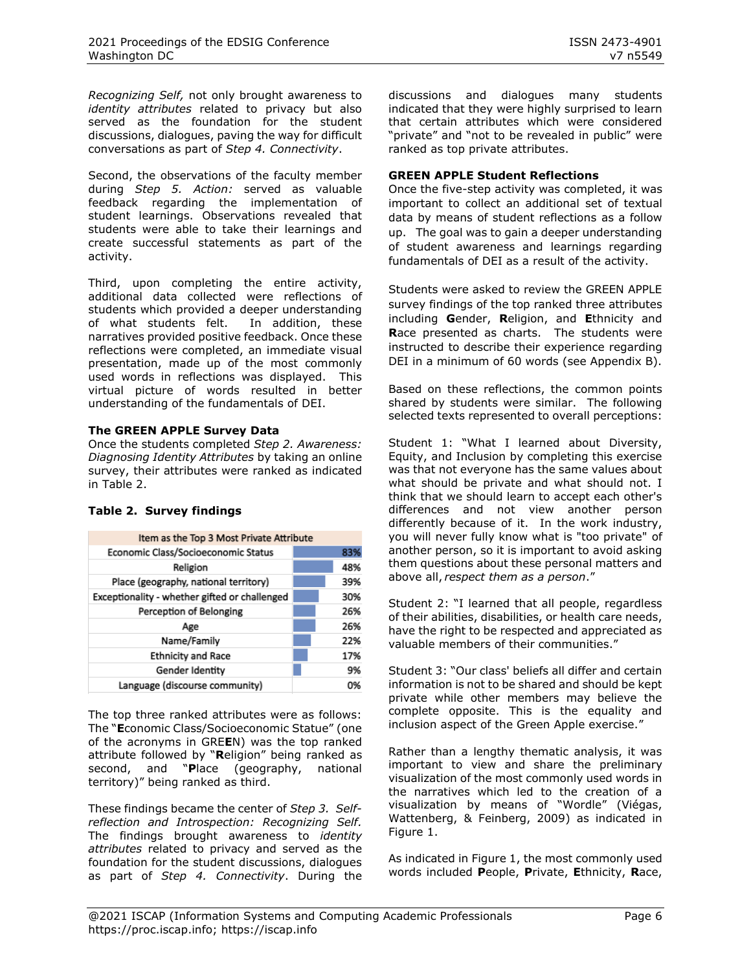*Recognizing Self,* not only brought awareness to *identity attributes* related to privacy but also served as the foundation for the student discussions, dialogues, paving the way for difficult conversations as part of *Step 4. Connectivity*.

Second, the observations of the faculty member during *Step 5. Action:* served as valuable feedback regarding the implementation of student learnings. Observations revealed that students were able to take their learnings and create successful statements as part of the activity.

Third, upon completing the entire activity, additional data collected were reflections of students which provided a deeper understanding of what students felt. In addition, these narratives provided positive feedback. Once these reflections were completed, an immediate visual presentation, made up of the most commonly used words in reflections was displayed. This virtual picture of words resulted in better understanding of the fundamentals of DEI.

### **The GREEN APPLE Survey Data**

Once the students completed *Step 2. Awareness: Diagnosing Identity Attributes* by taking an online survey, their attributes were ranked as indicated in Table 2.

### **Table 2. Survey findings**

| Item as the Top 3 Most Private Attribute      |  |     |
|-----------------------------------------------|--|-----|
| Economic Class/Socioeconomic Status           |  | 83% |
| Religion                                      |  | 48% |
| Place (geography, national territory)         |  | 39% |
| Exceptionality - whether gifted or challenged |  | 30% |
| Perception of Belonging                       |  | 26% |
| Age                                           |  | 26% |
| Name/Family                                   |  | 22% |
| <b>Ethnicity and Race</b>                     |  | 17% |
| Gender Identity                               |  | 9%  |
| Language (discourse community)                |  | 0%  |

The top three ranked attributes were as follows: The "**E**conomic Class/Socioeconomic Statue" (one of the acronyms in GRE**E**N) was the top ranked attribute followed by "**R**eligion" being ranked as second, and "**P**lace (geography, national territory)" being ranked as third.

These findings became the center of *Step 3. Selfreflection and Introspection: Recognizing Self.*  The findings brought awareness to *identity attributes* related to privacy and served as the foundation for the student discussions, dialogues as part of *Step 4. Connectivity*. During the discussions and dialogues many students indicated that they were highly surprised to learn that certain attributes which were considered "private" and "not to be revealed in public" were ranked as top private attributes.

### **GREEN APPLE Student Reflections**

Once the five-step activity was completed, it was important to collect an additional set of textual data by means of student reflections as a follow up. The goal was to gain a deeper understanding of student awareness and learnings regarding fundamentals of DEI as a result of the activity.

Students were asked to review the GREEN APPLE survey findings of the top ranked three attributes including **G**ender, **R**eligion, and **E**thnicity and **R**ace presented as charts. The students were instructed to describe their experience regarding DEI in a minimum of 60 words (see Appendix B).

Based on these reflections, the common points shared by students were similar. The following selected texts represented to overall perceptions:

Student 1: "What I learned about Diversity, Equity, and Inclusion by completing this exercise was that not everyone has the same values about what should be private and what should not. I think that we should learn to accept each other's differences and not view another person differently because of it. In the work industry, you will never fully know what is "too private" of another person, so it is important to avoid asking them questions about these personal matters and above all,*respect them as a person*."

Student 2: "I learned that all people, regardless of their abilities, disabilities, or health care needs, have the right to be respected and appreciated as valuable members of their communities."

Student 3: "Our class' beliefs all differ and certain information is not to be shared and should be kept private while other members may believe the complete opposite. This is the equality and inclusion aspect of the Green Apple exercise."

Rather than a lengthy thematic analysis, it was important to view and share the preliminary visualization of the most commonly used words in the narratives which led to the creation of a visualization by means of "Wordle" (Viégas, Wattenberg, & Feinberg, 2009) as indicated in Figure 1.

As indicated in Figure 1, the most commonly used words included **P**eople, **P**rivate, **E**thnicity, **R**ace,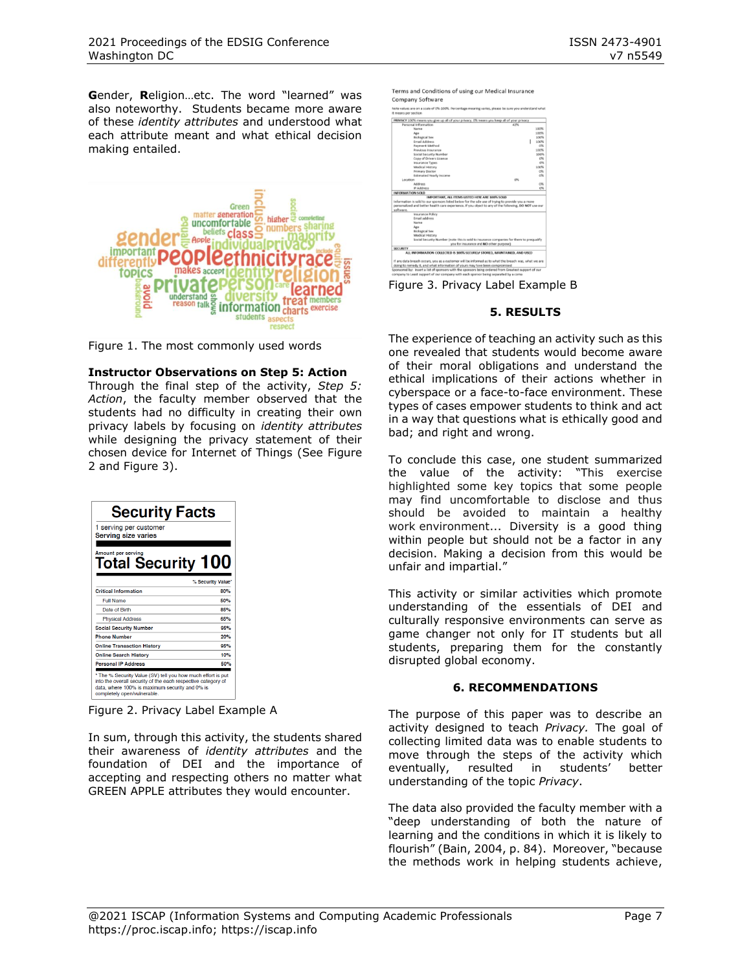**G**ender, **R**eligion…etc. The word "learned" was also noteworthy. Students became more aware of these *identity attributes* and understood what each attribute meant and what ethical decision making entailed.



Figure 1. The most commonly used words

### **Instructor Observations on Step 5: Action**

Through the final step of the activity, *Step 5: Action*, the faculty member observed that the students had no difficulty in creating their own privacy labels by focusing on *identity attributes* while designing the privacy statement of their chosen device for Internet of Things (See Figure 2 and Figure 3).

| <b>Security Facts</b><br>1 serving per customer<br><b>Serving size varies</b>                                                                                                                                |                   |  |
|--------------------------------------------------------------------------------------------------------------------------------------------------------------------------------------------------------------|-------------------|--|
| Amount per serving<br>Total Security 100                                                                                                                                                                     | % Security Value* |  |
| <b>Critical Information</b>                                                                                                                                                                                  | 80%               |  |
| <b>Full Name</b>                                                                                                                                                                                             | 50%               |  |
| Date of Birth                                                                                                                                                                                                | 85%               |  |
| <b>Physical Address</b>                                                                                                                                                                                      | 65%               |  |
| <b>Social Security Number</b>                                                                                                                                                                                | 95%               |  |
| <b>Phone Number</b>                                                                                                                                                                                          | 20%               |  |
| <b>Online Transaction History</b>                                                                                                                                                                            | 95%               |  |
| <b>Online Search History</b>                                                                                                                                                                                 | 10%               |  |
| <b>Personal IP Address</b>                                                                                                                                                                                   | 50%               |  |
| * The % Security Value (SV) tell you how much effort is put<br>into the overall security of the each respective category of<br>data, where 100% is maximum security and 0% is<br>completely open/vulnerable. |                   |  |

Figure 2. Privacy Label Example A

In sum, through this activity, the students shared their awareness of *identity attributes* and the foundation of DEI and the importance of accepting and respecting others no matter what GREEN APPLE attributes they would encounter.

Terms and Conditions of using our Medical Insurance Company Software Note values are on a scale of 0%-100% ACY 100% means you give up all of your privacy, 0% means you keep all of your p TED HERE ARE 100% S

Figure 3. Privacy Label Example B

doing to remedy it, and what information of yours may have been<br>Sponsored by: Insert a list of sponsors with the sponsors being ord

### **5. RESULTS**

The experience of teaching an activity such as this one revealed that students would become aware of their moral obligations and understand the ethical implications of their actions whether in cyberspace or a face-to-face environment. These types of cases empower students to think and act in a way that questions what is ethically good and bad; and right and wrong.

To conclude this case, one student summarized the value of the activity: "This exercise highlighted some key topics that some people may find uncomfortable to disclose and thus should be avoided to maintain a healthy work environment... Diversity is a good thing within people but should not be a factor in any decision. Making a decision from this would be unfair and impartial."

This activity or similar activities which promote understanding of the essentials of DEI and culturally responsive environments can serve as game changer not only for IT students but all students, preparing them for the constantly disrupted global economy.

### **6. RECOMMENDATIONS**

The purpose of this paper was to describe an activity designed to teach *Privacy.* The goal of collecting limited data was to enable students to move through the steps of the activity which eventually, resulted in students' better understanding of the topic *Privacy*.

The data also provided the faculty member with a "deep understanding of both the nature of learning and the conditions in which it is likely to flourish" (Bain, 2004, p. 84). Moreover, "because the methods work in helping students achieve,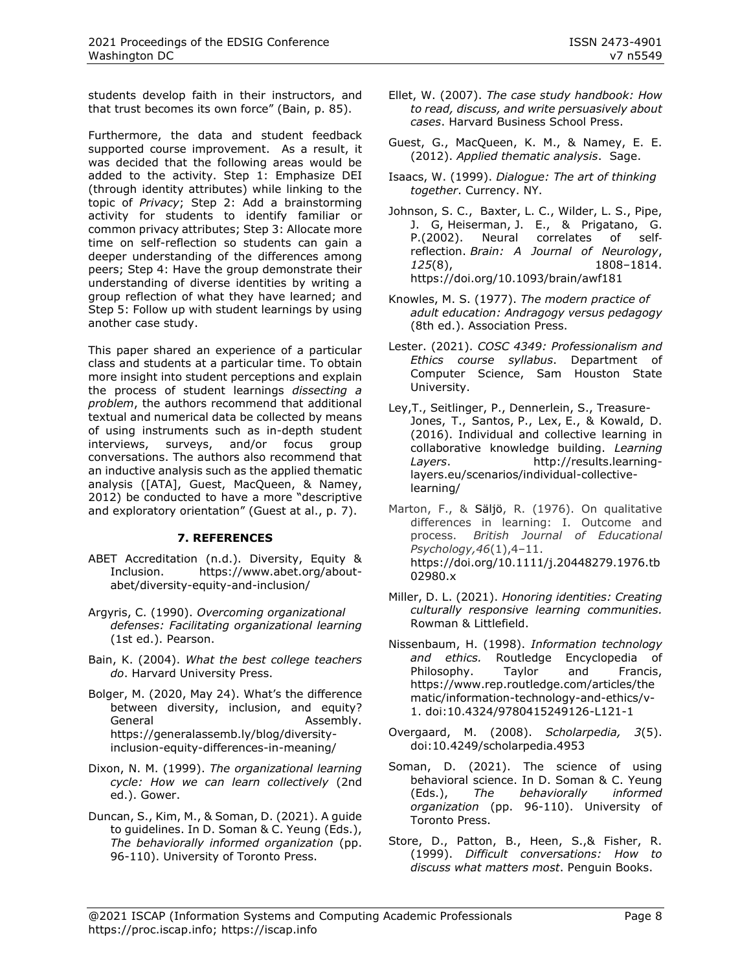students develop faith in their instructors, and that trust becomes its own force" (Bain, p. 85).

Furthermore, the data and student feedback supported course improvement. As a result, it was decided that the following areas would be added to the activity. Step 1: Emphasize DEI (through identity attributes) while linking to the topic of *Privacy*; Step 2: Add a brainstorming activity for students to identify familiar or common privacy attributes; Step 3: Allocate more time on self-reflection so students can gain a deeper understanding of the differences among peers; Step 4: Have the group demonstrate their understanding of diverse identities by writing a group reflection of what they have learned; and Step 5: Follow up with student learnings by using another case study.

This paper shared an experience of a particular class and students at a particular time. To obtain more insight into student perceptions and explain the process of student learnings *dissecting a problem*, the authors recommend that additional textual and numerical data be collected by means of using instruments such as in-depth student interviews, surveys, and/or focus group conversations. The authors also recommend that an inductive analysis such as the applied thematic analysis ([ATA], Guest, MacQueen, & Namey, 2012) be conducted to have a more "descriptive and exploratory orientation" (Guest at al., p. 7).

### **7. REFERENCES**

- ABET Accreditation (n.d.). Diversity, Equity & Inclusion. https://www.abet.org/aboutabet/diversity-equity-and-inclusion/
- Argyris, C. (1990). *Overcoming organizational defenses: Facilitating organizational learning* (1st ed.). Pearson.
- Bain, K. (2004). *What the best college teachers do*. Harvard University Press.
- Bolger, M. (2020, May 24). What's the difference between diversity, inclusion, and equity? General **Assembly.** https://generalassemb.ly/blog/diversityinclusion-equity-differences-in-meaning/
- Dixon, N. M. (1999). *The organizational learning cycle: How we can learn collectively* (2nd ed.). Gower.
- Duncan, S., Kim, M., & Soman, D. (2021). A guide to guidelines. In D. Soman & C. Yeung (Eds.), *The behaviorally informed organization* (pp. 96-110). University of Toronto Press.
- Ellet, W. (2007). *The case study handbook: How to read, discuss, and write persuasively about cases*. Harvard Business School Press.
- Guest, G., MacQueen, K. M., & Namey, E. E. (2012). *Applied thematic analysis*. Sage.
- Isaacs, W. (1999). *Dialogue: The art of thinking together*. Currency. NY.
- [Johnson,](https://pubmed.ncbi.nlm.nih.gov/?term=Johnson+SC&cauthor_id=12135971) S. C., Baxter, [L. C.,](https://pubmed.ncbi.nlm.nih.gov/?term=Baxter+LC&cauthor_id=12135971) Wilder, [L. S.,](https://pubmed.ncbi.nlm.nih.gov/?term=Wilder+LS&cauthor_id=12135971) Pipe, [J. G,](https://pubmed.ncbi.nlm.nih.gov/?term=Pipe+JG&cauthor_id=12135971) [Heiserman,](https://pubmed.ncbi.nlm.nih.gov/?term=Heiserman+JE&cauthor_id=12135971) J. E., & [Prigatano,](https://pubmed.ncbi.nlm.nih.gov/?term=Prigatano+GP&cauthor_id=12135971) G. P.(2002). Neural correlates of self‐ reflection. *Brain: A Journal of Neurology*, *125*(8), 1808–1814. <https://doi.org/10.1093/brain/awf181>
- Knowles, M. S. (1977). *The modern practice of adult education: Andragogy versus pedagogy* (8th ed.). Association Press.
- Lester. (2021). *COSC 4349: Professionalism and Ethics course syllabus*. Department of Computer Science, Sam Houston State University.
- [Ley,](http://results.learning-layers.eu/authors/#tobias-ley)T., Seitlinger, P., [Dennerlein,](http://results.learning-layers.eu/authors/#sebastian-dennerlein) S., Treasure-Jones, T., [Santos,](http://results.learning-layers.eu/authors/#patricia-santos) P., [Lex,](http://results.learning-layers.eu/authors/#elisabeth-lex) E., & [Kowald,](http://results.learning-layers.eu/authors/#dominik-kowald) D. (2016). Individual and collective learning in collaborative knowledge building. *Learning Layers*. http://results.learninglayers.eu/scenarios/individual-collectivelearning/
- Marton, F., & Säljö, R. (1976). On qualitative differences in learning: I. Outcome and process. *British Journal of Educational Psychology,46*(1),4–11. [https://doi.org/10.1111/j.20448279.1976.tb](https://doi.org/10.1111/j.20448279.1976.tb02980.x) [02980.x](https://doi.org/10.1111/j.20448279.1976.tb02980.x)
- Miller, D. L. (2021). *Honoring identities: Creating culturally responsive learning communities.* Rowman & Littlefield.
- Nissenbaum, H. (1998). *Information technology and ethics.* Routledge Encyclopedia of Philosophy. Taylor and Francis, https://www.rep.routledge.com/articles/the matic/information-technology-and-ethics/v-1. doi:10.4324/9780415249126-L121-1
- Overgaard, M. (2008). *Scholarpedia, 3*(5). [doi:10.4249/scholarpedia.4953](http://dx.doi.org/10.4249/scholarpedia.4953)
- Soman, D. (2021). The science of using behavioral science. In D. Soman & C. Yeung (Eds.), *The behaviorally informed organization* (pp. 96-110). University of Toronto Press.
- Store, D., Patton, B., Heen, S.,& Fisher, R. (1999). *Difficult conversations: How to discuss what matters most*. Penguin Books.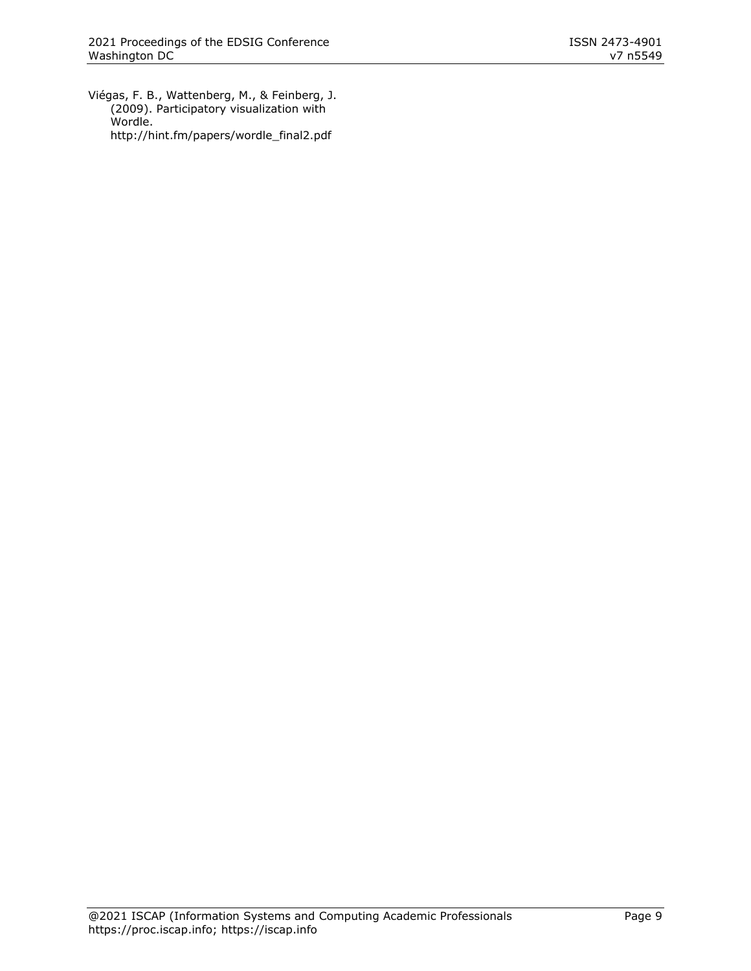Viégas, F. B., Wattenberg, M., & Feinberg, J. (2009). Participatory visualization with Wordle. http://hint.fm/papers/wordle\_final2.pdf